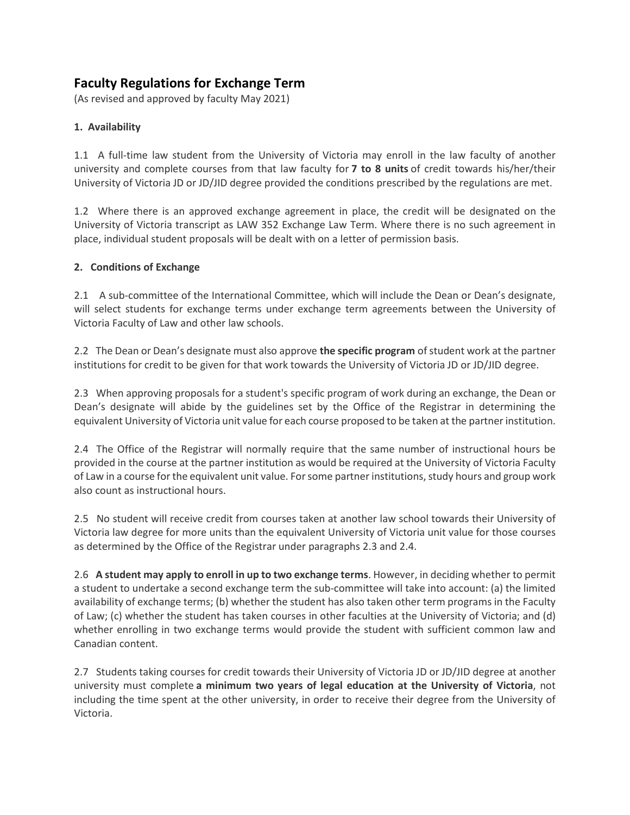# **Faculty Regulations for Exchange Term**

(As revised and approved by faculty May 2021)

## **1. Availability**

1.1 A full-time law student from the University of Victoria may enroll in the law faculty of another university and complete courses from that law faculty for **7 to 8 units** of credit towards his/her/their University of Victoria JD or JD/JID degree provided the conditions prescribed by the regulations are met.

1.2 Where there is an approved exchange agreement in place, the credit will be designated on the University of Victoria transcript as LAW 352 Exchange Law Term. Where there is no such agreement in place, individual student proposals will be dealt with on a letter of permission basis.

#### **2. Conditions of Exchange**

2.1 A sub-committee of the International Committee, which will include the Dean or Dean's designate, will select students for exchange terms under exchange term agreements between the University of Victoria Faculty of Law and other law schools.

2.2 The Dean or Dean's designate must also approve **the specific program** ofstudent work at the partner institutions for credit to be given for that work towards the University of Victoria JD or JD/JID degree.

2.3 When approving proposals for a student's specific program of work during an exchange, the Dean or Dean's designate will abide by the guidelines set by the Office of the Registrar in determining the equivalent University of Victoria unit value for each course proposed to be taken at the partner institution.

2.4 The Office of the Registrar will normally require that the same number of instructional hours be provided in the course at the partner institution as would be required at the University of Victoria Faculty of Law in a course for the equivalent unit value. For some partner institutions, study hours and group work also count as instructional hours.

2.5 No student will receive credit from courses taken at another law school towards their University of Victoria law degree for more units than the equivalent University of Victoria unit value for those courses as determined by the Office of the Registrar under paragraphs 2.3 and 2.4.

2.6 **A student may apply to enroll in up to two exchange terms**. However, in deciding whether to permit a student to undertake a second exchange term the sub-committee will take into account: (a) the limited availability of exchange terms; (b) whether the student has also taken other term programs in the Faculty of Law; (c) whether the student has taken courses in other faculties at the University of Victoria; and (d) whether enrolling in two exchange terms would provide the student with sufficient common law and Canadian content.

2.7 Students taking courses for credit towards their University of Victoria JD or JD/JID degree at another university must complete **a minimum two years of legal education at the University of Victoria**, not including the time spent at the other university, in order to receive their degree from the University of Victoria.